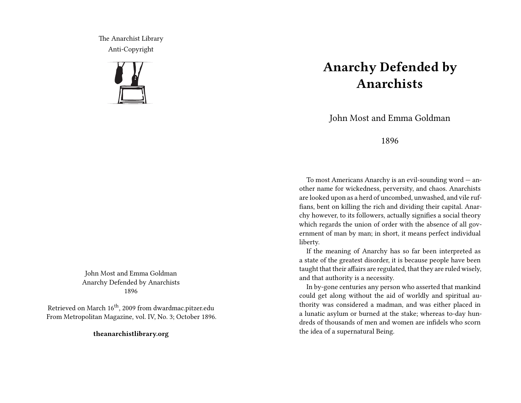The Anarchist Library Anti-Copyright



John Most and Emma Goldman Anarchy Defended by Anarchists 1896

Retrieved on March 16<sup>th</sup>, 2009 from dwardmac.pitzer.edu From Metropolitan Magazine, vol. IV, No. 3; October 1896.

**theanarchistlibrary.org**

## **Anarchy Defended by Anarchists**

John Most and Emma Goldman

1896

To most Americans Anarchy is an evil-sounding word — another name for wickedness, perversity, and chaos. Anarchists are looked upon as a herd of uncombed, unwashed, and vile ruffians, bent on killing the rich and dividing their capital. Anarchy however, to its followers, actually signifies a social theory which regards the union of order with the absence of all government of man by man; in short, it means perfect individual liberty.

If the meaning of Anarchy has so far been interpreted as a state of the greatest disorder, it is because people have been taught that their affairs are regulated, that they are ruled wisely, and that authority is a necessity.

In by-gone centuries any person who asserted that mankind could get along without the aid of worldly and spiritual authority was considered a madman, and was either placed in a lunatic asylum or burned at the stake; whereas to-day hundreds of thousands of men and women are infidels who scorn the idea of a supernatural Being.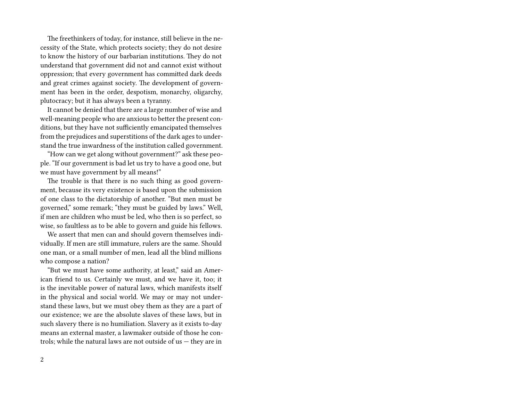The freethinkers of today, for instance, still believe in the necessity of the State, which protects society; they do not desire to know the history of our barbarian institutions. They do not understand that government did not and cannot exist without oppression; that every government has committed dark deeds and great crimes against society. The development of government has been in the order, despotism, monarchy, oligarchy, plutocracy; but it has always been a tyranny.

It cannot be denied that there are a large number of wise and well-meaning people who are anxious to better the present conditions, but they have not sufficiently emancipated themselves from the prejudices and superstitions of the dark ages to understand the true inwardness of the institution called government.

"How can we get along without government?" ask these people. "If our government is bad let us try to have a good one, but we must have government by all means!"

The trouble is that there is no such thing as good government, because its very existence is based upon the submission of one class to the dictatorship of another. "But men must be governed," some remark; "they must be guided by laws." Well, if men are children who must be led, who then is so perfect, so wise, so faultless as to be able to govern and guide his fellows.

We assert that men can and should govern themselves individually. If men are still immature, rulers are the same. Should one man, or a small number of men, lead all the blind millions who compose a nation?

"But we must have some authority, at least," said an American friend to us. Certainly we must, and we have it, too; it is the inevitable power of natural laws, which manifests itself in the physical and social world. We may or may not understand these laws, but we must obey them as they are a part of our existence; we are the absolute slaves of these laws, but in such slavery there is no humiliation. Slavery as it exists to-day means an external master, a lawmaker outside of those he controls; while the natural laws are not outside of  $us$  – they are in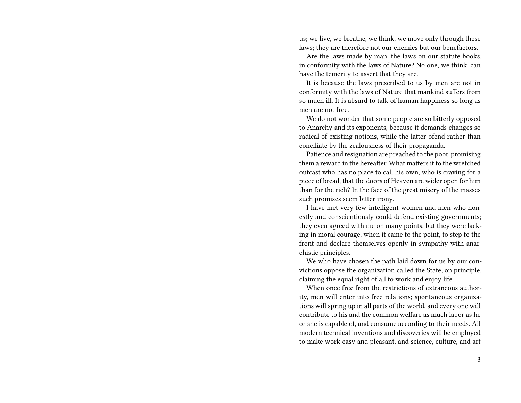us; we live, we breathe, we think, we move only through these laws; they are therefore not our enemies but our benefactors.

Are the laws made by man, the laws on our statute books, in conformity with the laws of Nature? No one, we think, can have the temerity to assert that they are.

It is because the laws prescribed to us by men are not in conformity with the laws of Nature that mankind suffers from so much ill. It is absurd to talk of human happiness so long as men are not free.

We do not wonder that some people are so bitterly opposed to Anarchy and its exponents, because it demands changes so radical of existing notions, while the latter ofend rather than conciliate by the zealousness of their propaganda.

Patience and resignation are preached to the poor, promising them a reward in the hereafter. What matters it to the wretched outcast who has no place to call his own, who is craving for a piece of bread, that the doors of Heaven are wider open for him than for the rich? In the face of the great misery of the masses such promises seem bitter irony.

I have met very few intelligent women and men who honestly and conscientiously could defend existing governments; they even agreed with me on many points, but they were lacking in moral courage, when it came to the point, to step to the front and declare themselves openly in sympathy with anarchistic principles.

We who have chosen the path laid down for us by our convictions oppose the organization called the State, on principle, claiming the equal right of all to work and enjoy life.

When once free from the restrictions of extraneous authority, men will enter into free relations; spontaneous organizations will spring up in all parts of the world, and every one will contribute to his and the common welfare as much labor as he or she is capable of, and consume according to their needs. All modern technical inventions and discoveries will be employed to make work easy and pleasant, and science, culture, and art